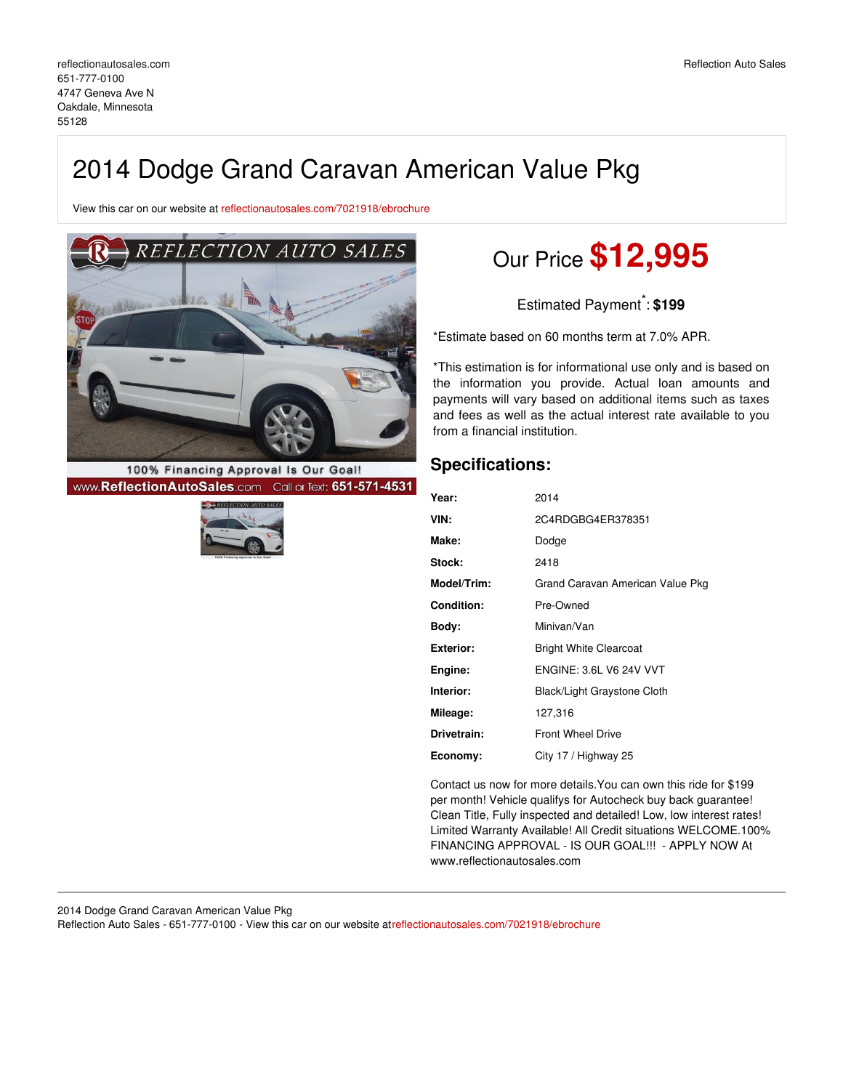View this car on our website at [reflectionautosales.com/7021918/ebrochure](https://reflectionautosales.com/vehicle/7021918/2014-dodge-grand-caravan-american-value-pkg-oakdale-minnesota-55128/7021918/ebrochure)



100% Financing Approval Is Our Goal! www.ReflectionAutoSales.com Call or Text: 651-571-4531



# Our Price **\$12,995**

Estimated Payment \* : **\$199**

\*Estimate based on 60 months term at 7.0% APR.

\*This estimation is for informational use only and is based on the information you provide. Actual loan amounts and payments will vary based on additional items such as taxes and fees as well as the actual interest rate available to you from a financial institution.

# **Specifications:**

| Year:             | 2014                             |
|-------------------|----------------------------------|
| VIN:              | 2C4RDGBG4ER378351                |
| Make:             | Dodge                            |
| Stock:            | 2418                             |
| Model/Trim:       | Grand Caravan American Value Pkg |
| <b>Condition:</b> | Pre-Owned                        |
| Body:             | Minivan/Van                      |
| <b>Exterior:</b>  | <b>Bright White Clearcoat</b>    |
| Engine:           | <b>ENGINE: 3.6L V6 24V VVT</b>   |
| Interior:         | Black/Light Graystone Cloth      |
| Mileage:          | 127,316                          |
| Drivetrain:       | <b>Front Wheel Drive</b>         |
| Economy:          | City 17 / Highway 25             |

Contact us now for more details.You can own this ride for \$199 per month! Vehicle qualifys for Autocheck buy back guarantee! Clean Title, Fully inspected and detailed! Low, low interest rates! Limited Warranty Available! All Credit situations WELCOME.100% FINANCING APPROVAL - IS OUR GOAL!!! - APPLY NOW At www.reflectionautosales.com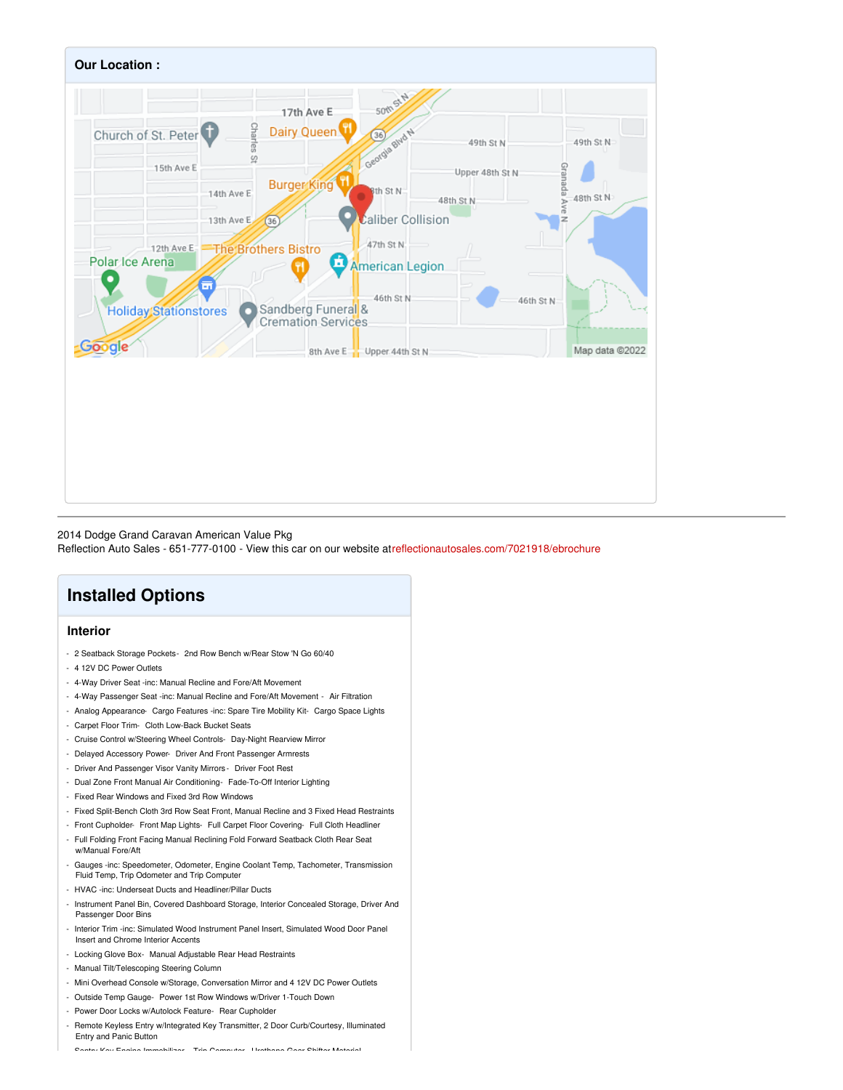

2014 Dodge Grand Caravan American Value Pkg Reflection Auto Sales - 651-777-0100 - View this car on our website a[treflectionautosales.com/7021918/ebrochure](https://reflectionautosales.com/vehicle/7021918/2014-dodge-grand-caravan-american-value-pkg-oakdale-minnesota-55128/7021918/ebrochure)

# **Installed Options**

### **Interior**

- 2 Seatback Storage Pockets- 2nd Row Bench w/Rear Stow 'N Go 60/40
- 4 12V DC Power Outlets
- 4-Way Driver Seat -inc: Manual Recline and Fore/Aft Movement
- 4-Way Passenger Seat -inc: Manual Recline and Fore/Aft Movement Air Filtration
- Analog Appearance- Cargo Features -inc: Spare Tire Mobility Kit- Cargo Space Lights
- Carpet Floor Trim- Cloth Low-Back Bucket Seats
- Cruise Control w/Steering Wheel Controls- Day-Night Rearview Mirror
- Delayed Accessory Power- Driver And Front Passenger Armrests
- Driver And Passenger Visor Vanity Mirrors Driver Foot Rest
- Dual Zone Front Manual Air Conditioning- Fade-To-Off Interior Lighting
- Fixed Rear Windows and Fixed 3rd Row Windows
- Fixed Split-Bench Cloth 3rd Row Seat Front, Manual Recline and 3 Fixed Head Restraints
- Front Cupholder- Front Map Lights- Full Carpet Floor Covering- Full Cloth Headliner
- Full Folding Front Facing Manual Reclining Fold Forward Seatback Cloth Rear Seat w/Manual Fore/Aft
- Gauges -inc: Speedometer, Odometer, Engine Coolant Temp, Tachometer, Transmission Fluid Temp, Trip Odometer and Trip Computer
- HVAC -inc: Underseat Ducts and Headliner/Pillar Ducts
- Instrument Panel Bin, Covered Dashboard Storage, Interior Concealed Storage, Driver And Passenger Door Bins
- Interior Trim -inc: Simulated Wood Instrument Panel Insert, Simulated Wood Door Panel Insert and Chrome Interior Accents
- Locking Glove Box- Manual Adjustable Rear Head Restraints
- Manual Tilt/Telescoping Steering Column
- Mini Overhead Console w/Storage, Conversation Mirror and 4 12V DC Power Outlets
- Outside Temp Gauge- Power 1st Row Windows w/Driver 1-Touch Down
- Power Door Locks w/Autolock Feature- Rear Cupholder
- Remote Keyless Entry w/Integrated Key Transmitter, 2 Door Curb/Courtesy, Illuminated Entry and Panic Button

- Sentry Key Engine Immobilizer- Trip Computer- Urethane Gear Shifter Material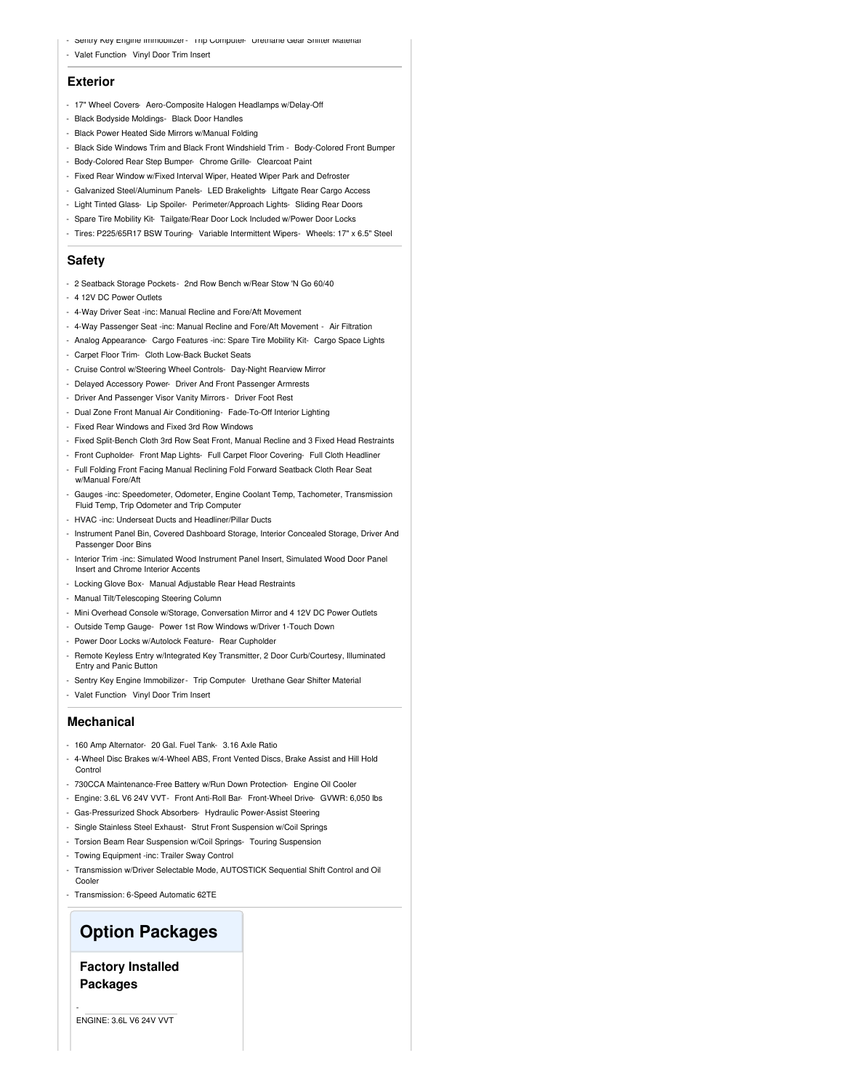- Sentry Key Engine Immobilizer- Trip Computer- Urethane Gear Shifter Material
- Valet Function- Vinyl Door Trim Insert

#### **Exterior**

- 17" Wheel Covers- Aero-Composite Halogen Headlamps w/Delay-Off
- Black Bodyside Moldings- Black Door Handles
- Black Power Heated Side Mirrors w/Manual Folding
- Black Side Windows Trim and Black Front Windshield Trim Body-Colored Front Bumper
- Body-Colored Rear Step Bumper- Chrome Grille- Clearcoat Paint
- Fixed Rear Window w/Fixed Interval Wiper, Heated Wiper Park and Defroster - Galvanized Steel/Aluminum Panels- LED Brakelights- Liftgate Rear Cargo Access
- Light Tinted Glass- Lip Spoiler- Perimeter/Approach Lights- Sliding Rear Doors
- Spare Tire Mobility Kit- Tailgate/Rear Door Lock Included w/Power Door Locks
- Tires: P225/65R17 BSW Touring- Variable Intermittent Wipers- Wheels: 17" x 6.5" Steel

#### **Safety**

- 2 Seatback Storage Pockets- 2nd Row Bench w/Rear Stow 'N Go 60/40
- 4 12V DC Power Outlets
- 4-Way Driver Seat -inc: Manual Recline and Fore/Aft Movement
- 4-Way Passenger Seat -inc: Manual Recline and Fore/Aft Movement Air Filtration
- Analog Appearance- Cargo Features -inc: Spare Tire Mobility Kit- Cargo Space Lights
- Carpet Floor Trim- Cloth Low-Back Bucket Seats
- Cruise Control w/Steering Wheel Controls- Day-Night Rearview Mirror
- Delayed Accessory Power- Driver And Front Passenger Armrests
- Driver And Passenger Visor Vanity Mirrors Driver Foot Rest
- Dual Zone Front Manual Air Conditioning- Fade-To-Off Interior Lighting
- Fixed Rear Windows and Fixed 3rd Row Windows
- Fixed Split-Bench Cloth 3rd Row Seat Front, Manual Recline and 3 Fixed Head Restraints
- Front Cupholder- Front Map Lights- Full Carpet Floor Covering- Full Cloth Headliner
- Full Folding Front Facing Manual Reclining Fold Forward Seatback Cloth Rear Seat w/Manual Fore/Aft
- Gauges -inc: Speedometer, Odometer, Engine Coolant Temp, Tachometer, Transmission Fluid Temp, Trip Odometer and Trip Computer
- HVAC -inc: Underseat Ducts and Headliner/Pillar Ducts
- Instrument Panel Bin, Covered Dashboard Storage, Interior Concealed Storage, Driver And Passenger Door Bins
- Interior Trim -inc: Simulated Wood Instrument Panel Insert, Simulated Wood Door Panel Insert and Chrome Interior Accents
- Locking Glove Box- Manual Adjustable Rear Head Restraints
- Manual Tilt/Telescoping Steering Column
- Mini Overhead Console w/Storage, Conversation Mirror and 4 12V DC Power Outlets
- Outside Temp Gauge- Power 1st Row Windows w/Driver 1-Touch Down
- Power Door Locks w/Autolock Feature- Rear Cupholder
- Remote Keyless Entry w/Integrated Key Transmitter, 2 Door Curb/Courtesy, Illuminated Entry and Panic Button
- Sentry Key Engine Immobilizer- Trip Computer- Urethane Gear Shifter Material
- Valet Function- Vinyl Door Trim Insert

#### **Mechanical**

- 160 Amp Alternator- 20 Gal. Fuel Tank- 3.16 Axle Ratio
- 4-Wheel Disc Brakes w/4-Wheel ABS, Front Vented Discs, Brake Assist and Hill Hold Control
- 730CCA Maintenance-Free Battery w/Run Down Protection- Engine Oil Cooler
- Engine: 3.6L V6 24V VVT- Front Anti-Roll Bar- Front-Wheel Drive- GVWR: 6,050 lbs
- Gas-Pressurized Shock Absorbers- Hydraulic Power-Assist Steering
- Single Stainless Steel Exhaust- Strut Front Suspension w/Coil Springs
- Torsion Beam Rear Suspension w/Coil Springs- Touring Suspension
- Towing Equipment -inc: Trailer Sway Control
- Transmission w/Driver Selectable Mode, AUTOSTICK Sequential Shift Control and Oil Cooler
- Transmission: 6-Speed Automatic 62TE

## **Option Packages**

## **Factory Installed Packages**

ENGINE: 3.6L V6 24V VVT

-